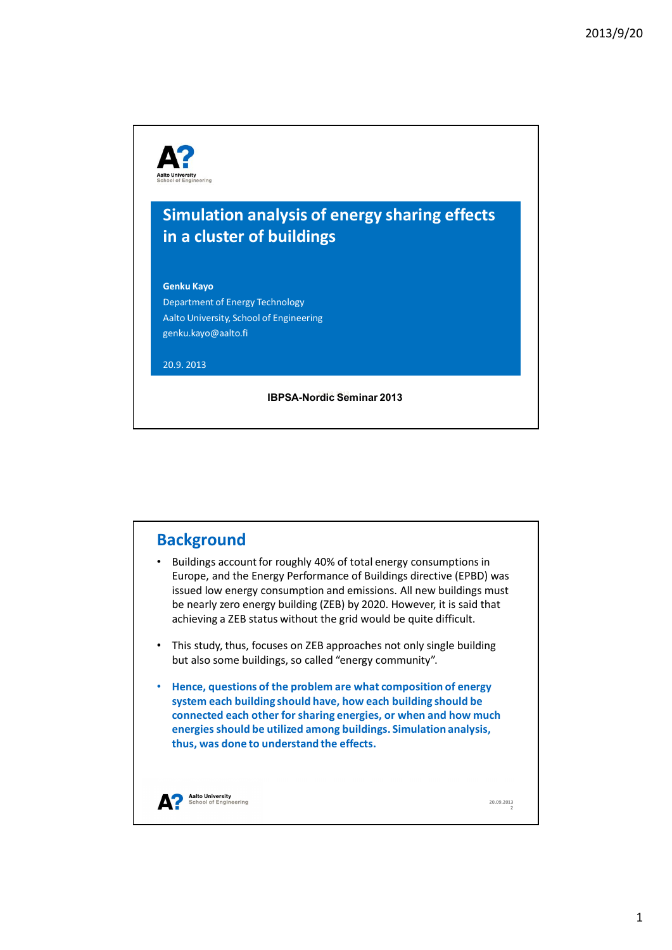



 $\mathbf{1}$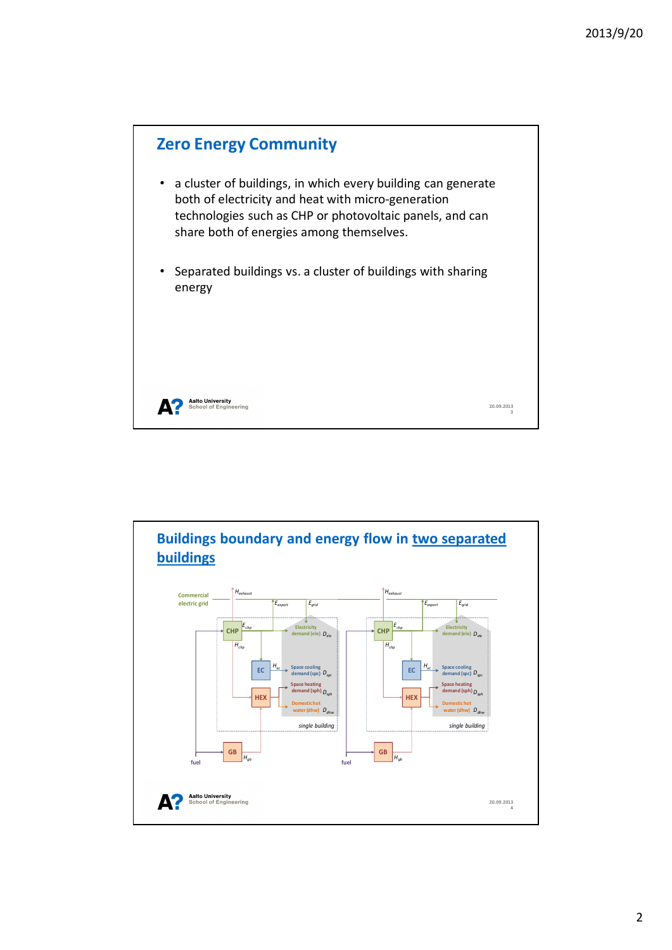

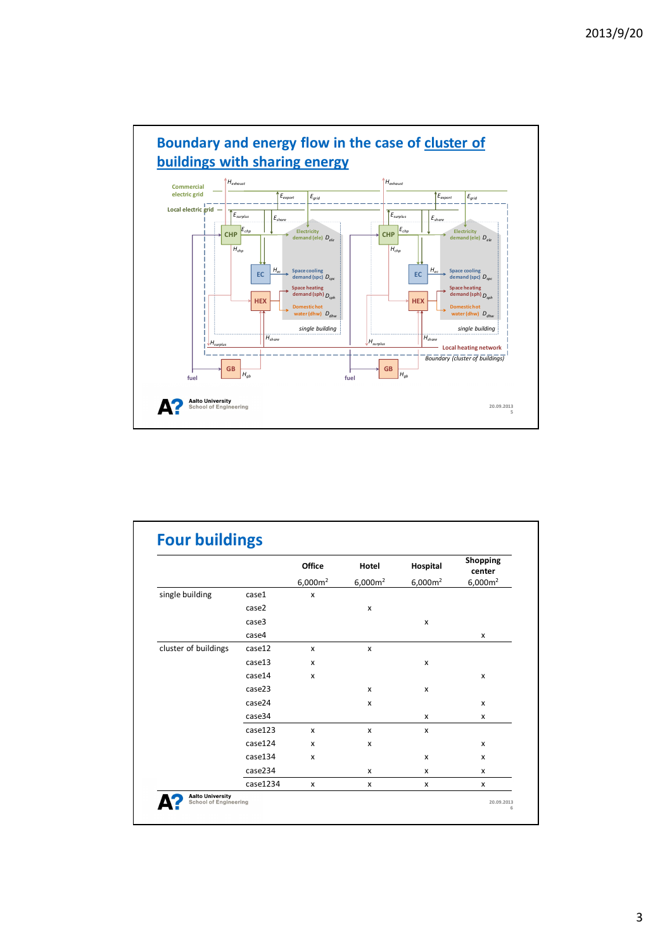

|                      |          | <b>Office</b><br>6,000m <sup>2</sup> | Hotel<br>6,000m <sup>2</sup> | Hospital<br>6,000m <sup>2</sup> | Shopping<br>center<br>6,000m <sup>2</sup> |
|----------------------|----------|--------------------------------------|------------------------------|---------------------------------|-------------------------------------------|
|                      |          |                                      |                              |                                 |                                           |
| single building      | case1    | X                                    |                              |                                 |                                           |
|                      | case2    |                                      | x                            |                                 |                                           |
|                      | case3    |                                      |                              | X                               |                                           |
|                      | case4    |                                      |                              |                                 | X                                         |
| cluster of buildings | case12   | X                                    | X                            |                                 |                                           |
|                      | case13   | X                                    |                              | x                               |                                           |
|                      | case14   | X                                    |                              |                                 | x                                         |
|                      | case23   |                                      | x                            | x                               |                                           |
|                      | case24   |                                      | x                            |                                 | X                                         |
|                      | case34   |                                      |                              | X                               | X                                         |
|                      | case123  | x                                    | x                            | X                               |                                           |
|                      | case124  | X                                    | x                            |                                 | x                                         |
|                      | case134  | x                                    |                              | X                               | x                                         |
|                      | case234  |                                      | x                            | x                               | x                                         |
|                      | case1234 | X                                    | x                            | x                               | X                                         |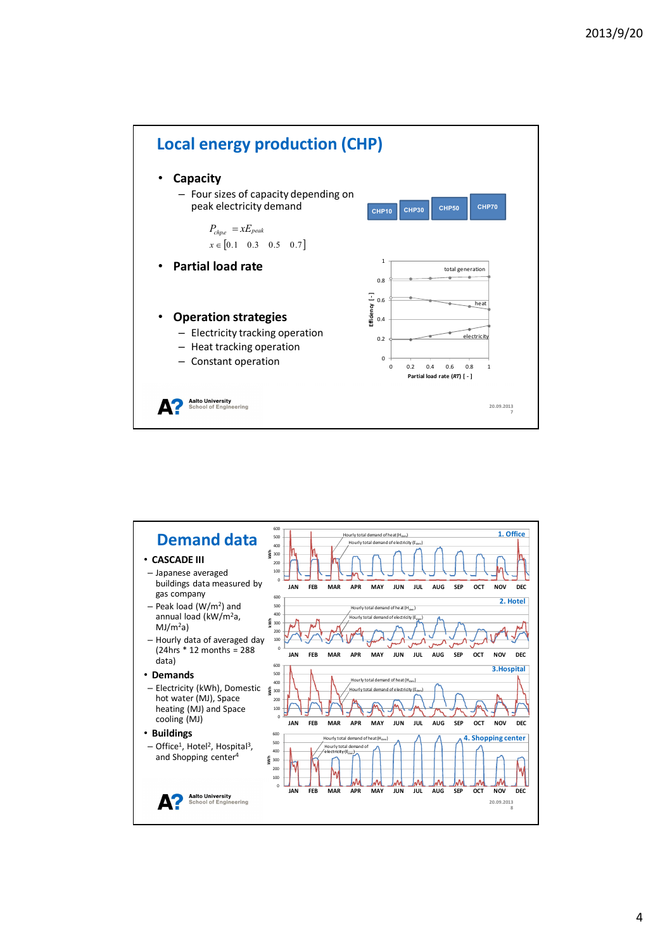



4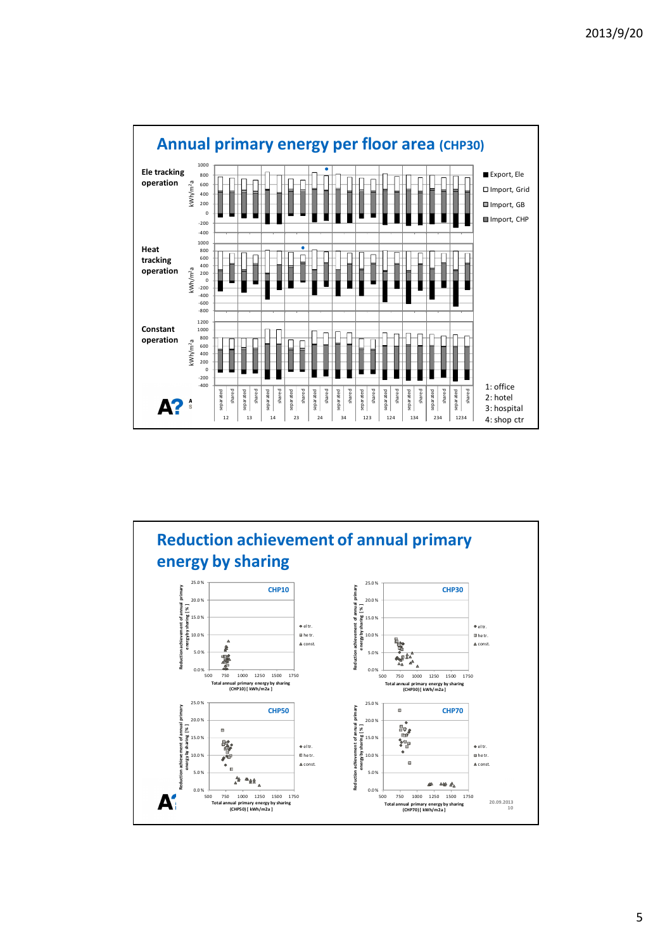



5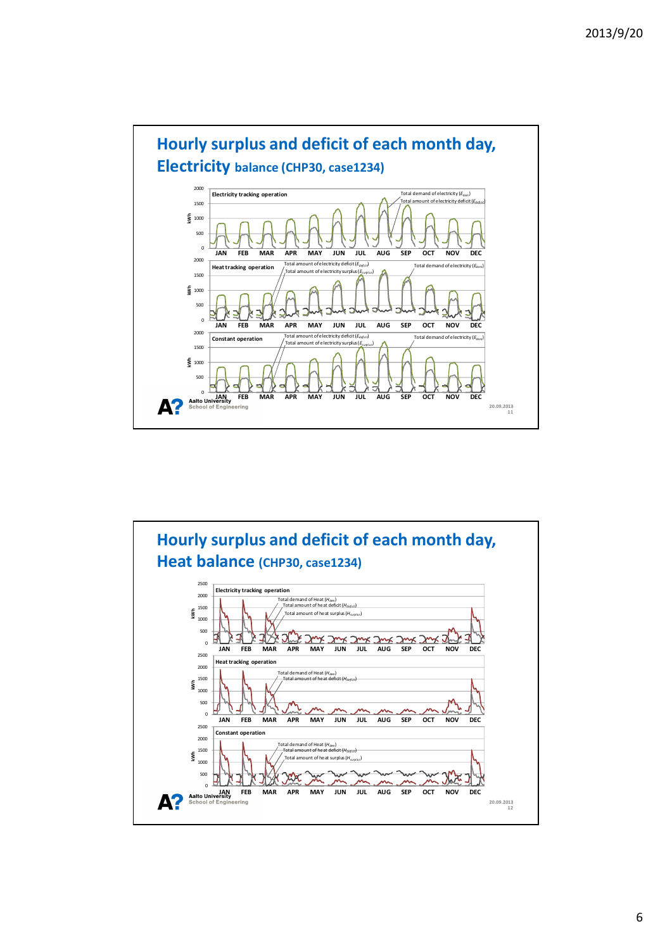



8